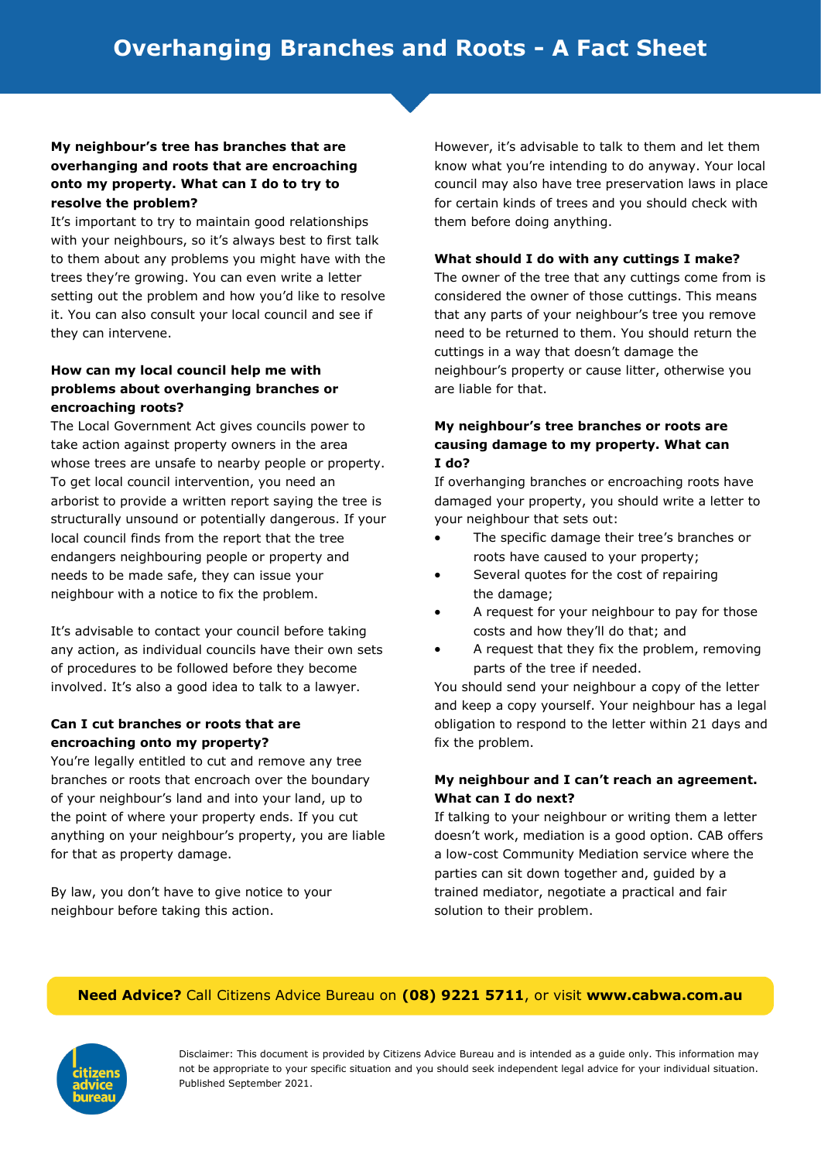## **My neighbour's tree has branches that are overhanging and roots that are encroaching onto my property. What can I do to try to resolve the problem?**

It's important to try to maintain good relationships with your neighbours, so it's always best to first talk to them about any problems you might have with the trees they're growing. You can even write a letter setting out the problem and how you'd like to resolve it. You can also consult your local council and see if they can intervene.

#### **How can my local council help me with problems about overhanging branches or encroaching roots?**

The Local Government Act gives councils power to take action against property owners in the area whose trees are unsafe to nearby people or property. To get local council intervention, you need an arborist to provide a written report saying the tree is structurally unsound or potentially dangerous. If your local council finds from the report that the tree endangers neighbouring people or property and needs to be made safe, they can issue your neighbour with a notice to fix the problem.

It's advisable to contact your council before taking any action, as individual councils have their own sets of procedures to be followed before they become involved. It's also a good idea to talk to a lawyer.

# **Can I cut branches or roots that are encroaching onto my property?**

You're legally entitled to cut and remove any tree branches or roots that encroach over the boundary of your neighbour's land and into your land, up to the point of where your property ends. If you cut anything on your neighbour's property, you are liable for that as property damage.

By law, you don't have to give notice to your neighbour before taking this action.

However, it's advisable to talk to them and let them know what you're intending to do anyway. Your local council may also have tree preservation laws in place for certain kinds of trees and you should check with them before doing anything.

#### **What should I do with any cuttings I make?**

The owner of the tree that any cuttings come from is considered the owner of those cuttings. This means that any parts of your neighbour's tree you remove need to be returned to them. You should return the cuttings in a way that doesn't damage the neighbour's property or cause litter, otherwise you are liable for that.

#### **My neighbour's tree branches or roots are causing damage to my property. What can I do?**

If overhanging branches or encroaching roots have damaged your property, you should write a letter to your neighbour that sets out:

- The specific damage their tree's branches or roots have caused to your property;
- Several quotes for the cost of repairing the damage;
- A request for your neighbour to pay for those costs and how they'll do that; and
- A request that they fix the problem, removing parts of the tree if needed.

You should send your neighbour a copy of the letter and keep a copy yourself. Your neighbour has a legal obligation to respond to the letter within 21 days and fix the problem.

#### **My neighbour and I can't reach an agreement. What can I do next?**

If talking to your neighbour or writing them a letter doesn't work, mediation is a good option. CAB offers a low-cost Community Mediation service where the parties can sit down together and, guided by a trained mediator, negotiate a practical and fair solution to their problem.

## **Need Advice?** Call Citizens Advice Bureau on **(08) 9221 5711**, or visit **www.cabwa.com.au**



Disclaimer: This document is provided by Citizens Advice Bureau and is intended as a guide only. This information may not be appropriate to your specific situation and you should seek independent legal advice for your individual situation. Published September 2021.